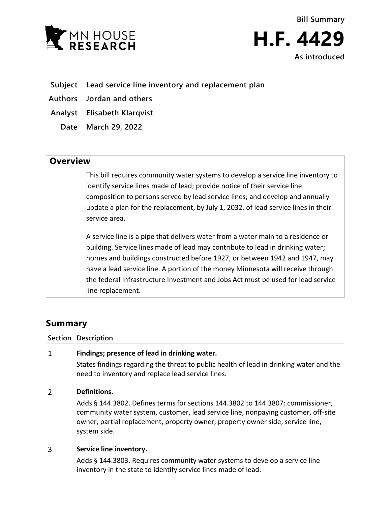



**Subject Lead service line inventory and replacement plan**

**Authors Jordan and others**

**Analyst Elisabeth Klarqvist**

**Date March 29, 2022**

## **Overview**

This bill requires community water systems to develop a service line inventory to identify service lines made of lead; provide notice of their service line composition to persons served by lead service lines; and develop and annually update a plan for the replacement, by July 1, 2032, of lead service lines in their service area.

A service line is a pipe that delivers water from a water main to a residence or building. Service lines made of lead may contribute to lead in drinking water; homes and buildings constructed before 1927, or between 1942 and 1947, may have a lead service line. A portion of the money Minnesota will receive through the federal Infrastructure Investment and Jobs Act must be used for lead service line replacement.

# **Summary**

**Section Description**

### **Findings; presence of lead in drinking water.**  $\mathbf{1}$

States findings regarding the threat to public health of lead in drinking water and the need to inventory and replace lead service lines.

### $\overline{2}$ **Definitions.**

Adds § 144.3802. Defines terms for sections 144.3802 to 144.3807: commissioner, community water system, customer, lead service line, nonpaying customer, off-site owner, partial replacement, property owner, property owner side, service line, system side.

### $\overline{3}$ **Service line inventory.**

Adds § 144.3803. Requires community water systems to develop a service line inventory in the state to identify service lines made of lead.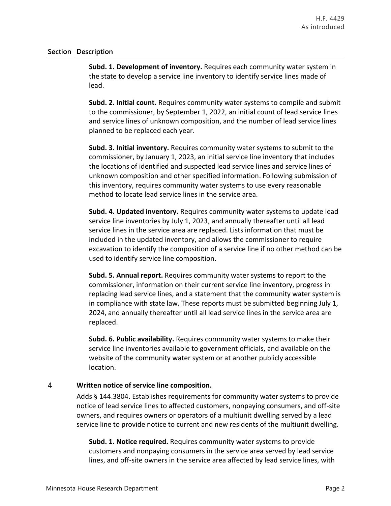### **Section Description**

**Subd. 1. Development of inventory.** Requires each community water system in the state to develop a service line inventory to identify service lines made of lead.

**Subd. 2. Initial count.** Requires community water systems to compile and submit to the commissioner, by September 1, 2022, an initial count of lead service lines and service lines of unknown composition, and the number of lead service lines planned to be replaced each year.

**Subd. 3. Initial inventory.** Requires community water systems to submit to the commissioner, by January 1, 2023, an initial service line inventory that includes the locations of identified and suspected lead service lines and service lines of unknown composition and other specified information. Following submission of this inventory, requires community water systems to use every reasonable method to locate lead service lines in the service area.

**Subd. 4. Updated inventory.** Requires community water systems to update lead service line inventories by July 1, 2023, and annually thereafter until all lead service lines in the service area are replaced. Lists information that must be included in the updated inventory, and allows the commissioner to require excavation to identify the composition of a service line if no other method can be used to identify service line composition.

**Subd. 5. Annual report.** Requires community water systems to report to the commissioner, information on their current service line inventory, progress in replacing lead service lines, and a statement that the community water system is in compliance with state law. These reports must be submitted beginning July 1, 2024, and annually thereafter until all lead service lines in the service area are replaced.

**Subd. 6. Public availability.** Requires community water systems to make their service line inventories available to government officials, and available on the website of the community water system or at another publicly accessible location.

### $\overline{4}$ **Written notice of service line composition.**

Adds § 144.3804. Establishes requirements for community water systems to provide notice of lead service lines to affected customers, nonpaying consumers, and off-site owners, and requires owners or operators of a multiunit dwelling served by a lead service line to provide notice to current and new residents of the multiunit dwelling.

**Subd. 1. Notice required.** Requires community water systems to provide customers and nonpaying consumers in the service area served by lead service lines, and off-site owners in the service area affected by lead service lines, with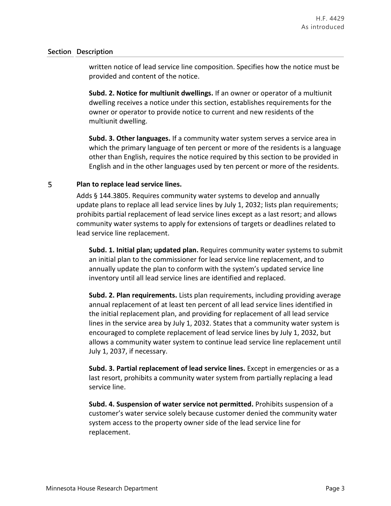### **Section Description**

written notice of lead service line composition. Specifies how the notice must be provided and content of the notice.

**Subd. 2. Notice for multiunit dwellings.** If an owner or operator of a multiunit dwelling receives a notice under this section, establishes requirements for the owner or operator to provide notice to current and new residents of the multiunit dwelling.

**Subd. 3. Other languages.** If a community water system serves a service area in which the primary language of ten percent or more of the residents is a language other than English, requires the notice required by this section to be provided in English and in the other languages used by ten percent or more of the residents.

### 5 **Plan to replace lead service lines.**

Adds § 144.3805. Requires community water systems to develop and annually update plans to replace all lead service lines by July 1, 2032; lists plan requirements; prohibits partial replacement of lead service lines except as a last resort; and allows community water systems to apply for extensions of targets or deadlines related to lead service line replacement.

**Subd. 1. Initial plan; updated plan.** Requires community water systems to submit an initial plan to the commissioner for lead service line replacement, and to annually update the plan to conform with the system's updated service line inventory until all lead service lines are identified and replaced.

**Subd. 2. Plan requirements.** Lists plan requirements, including providing average annual replacement of at least ten percent of all lead service lines identified in the initial replacement plan, and providing for replacement of all lead service lines in the service area by July 1, 2032. States that a community water system is encouraged to complete replacement of lead service lines by July 1, 2032, but allows a community water system to continue lead service line replacement until July 1, 2037, if necessary.

**Subd. 3. Partial replacement of lead service lines.** Except in emergencies or as a last resort, prohibits a community water system from partially replacing a lead service line.

**Subd. 4. Suspension of water service not permitted.** Prohibits suspension of a customer's water service solely because customer denied the community water system access to the property owner side of the lead service line for replacement.